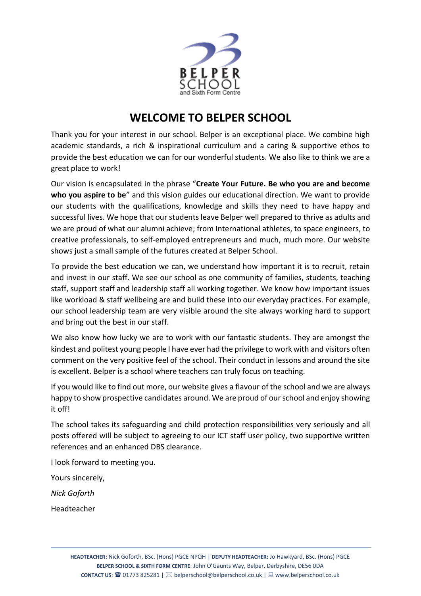

## **WELCOME TO BELPER SCHOOL**

Thank you for your interest in our school. Belper is an exceptional place. We combine high academic standards, a rich & inspirational curriculum and a caring & supportive ethos to provide the best education we can for our wonderful students. We also like to think we are a great place to work!

Our vision is encapsulated in the phrase "**Create Your Future. Be who you are and become who you aspire to be**" and this vision guides our educational direction. We want to provide our students with the qualifications, knowledge and skills they need to have happy and successful lives. We hope that our students leave Belper well prepared to thrive as adults and we are proud of what our alumni achieve; from International athletes, to space engineers, to creative professionals, to self-employed entrepreneurs and much, much more. Our website shows just a small sample of the futures created at Belper School.

To provide the best education we can, we understand how important it is to recruit, retain and invest in our staff. We see our school as one community of families, students, teaching staff, support staff and leadership staff all working together. We know how important issues like workload & staff wellbeing are and build these into our everyday practices. For example, our school leadership team are very visible around the site always working hard to support and bring out the best in our staff.

We also know how lucky we are to work with our fantastic students. They are amongst the kindest and politest young people I have ever had the privilege to work with and visitors often comment on the very positive feel of the school. Their conduct in lessons and around the site is excellent. Belper is a school where teachers can truly focus on teaching.

If you would like to find out more, our website gives a flavour of the school and we are always happy to show prospective candidates around. We are proud of our school and enjoy showing it off!

The school takes its safeguarding and child protection responsibilities very seriously and all posts offered will be subject to agreeing to our ICT staff user policy, two supportive written references and an enhanced DBS clearance.

I look forward to meeting you.

Yours sincerely,

*Nick Goforth*

Headteacher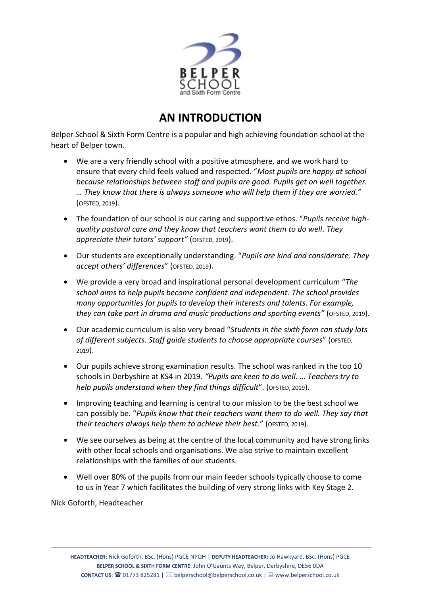

## **AN INTRODUCTION**

Belper School & Sixth Form Centre is a popular and high achieving foundation school at the heart of Belper town.

- We are a very friendly school with a positive atmosphere, and we work hard to ensure that every child feels valued and respected. "*Most pupils are happy at school because relationships between staff and pupils are good. Pupils get on well together. … They know that there is always someone who will help them if they are worried."*  (OFSTED, 2019).
- The foundation of our school is our caring and supportive ethos. "*Pupils receive highquality pastoral care and they know that teachers want them to do well. They appreciate their tutors' support"* (OFSTED, 2019).
- Our students are exceptionally understanding. "*Pupils are kind and considerate. They accept others' differences*" (OFSTED, 2019).
- We provide a very broad and inspirational personal development curriculum "*The school aims to help pupils become confident and independent. The school provides many opportunities for pupils to develop their interests and talents. For example, they can take part in drama and music productions and sporting events"* (OFSTED, 2019).
- Our academic curriculum is also very broad "*Students in the sixth form can study lots of different subjects. Staff guide students to choose appropriate courses*" (OFSTED, 2019).
- Our pupils achieve strong examination results. The school was ranked in the top 10 schools in Derbyshire at KS4 in 2019. *"Pupils are keen to do well. … Teachers try to help pupils understand when they find things difficult*". (OFSTED, 2019).
- Improving teaching and learning is central to our mission to be the best school we can possibly be. "*Pupils know that their teachers want them to do well. They say that their teachers always help them to achieve their best*." (OFSTED, 2019).
- We see ourselves as being at the centre of the local community and have strong links with other local schools and organisations. We also strive to maintain excellent relationships with the families of our students.
- Well over 80% of the pupils from our main feeder schools typically choose to come to us in Year 7 which facilitates the building of very strong links with Key Stage 2.

Nick Goforth, Headteacher